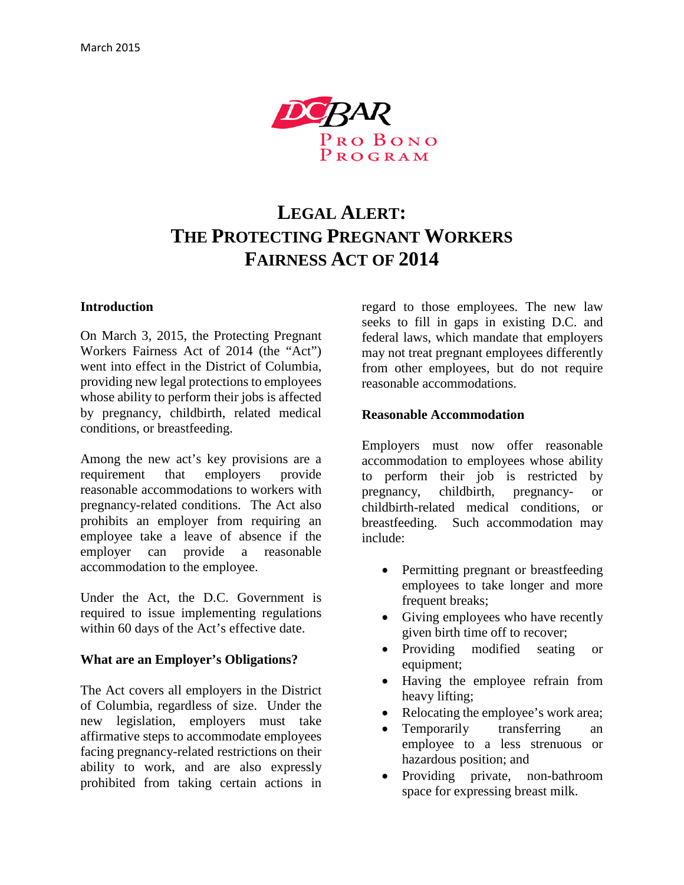

# **LEGAL ALERT: THE PROTECTING PREGNANT WORKERS FAIRNESS ACT OF 2014**

#### **Introduction**

On March 3, 2015, the Protecting Pregnant Workers Fairness Act of 2014 (the "Act") went into effect in the District of Columbia, providing new legal protections to employees whose ability to perform their jobs is affected by pregnancy, childbirth, related medical conditions, or breastfeeding.

Among the new act's key provisions are a requirement that employers provide reasonable accommodations to workers with pregnancy-related conditions. The Act also prohibits an employer from requiring an employee take a leave of absence if the employer can provide a reasonable accommodation to the employee.

Under the Act, the D.C. Government is required to issue implementing regulations within 60 days of the Act's effective date.

#### **What are an Employer's Obligations?**

The Act covers all employers in the District of Columbia, regardless of size. Under the new legislation, employers must take affirmative steps to accommodate employees facing pregnancy-related restrictions on their ability to work, and are also expressly prohibited from taking certain actions in

regard to those employees. The new law seeks to fill in gaps in existing D.C. and federal laws, which mandate that employers may not treat pregnant employees differently from other employees, but do not require reasonable accommodations.

#### **Reasonable Accommodation**

Employers must now offer reasonable accommodation to employees whose ability to perform their job is restricted by pregnancy, childbirth, pregnancy- or childbirth-related medical conditions, or breastfeeding. Such accommodation may include:

- Permitting pregnant or breastfeeding employees to take longer and more frequent breaks;
- Giving employees who have recently given birth time off to recover;
- Providing modified seating or equipment;
- Having the employee refrain from heavy lifting;
- Relocating the employee's work area;
- Temporarily transferring an employee to a less strenuous or hazardous position; and
- Providing private, non-bathroom space for expressing breast milk.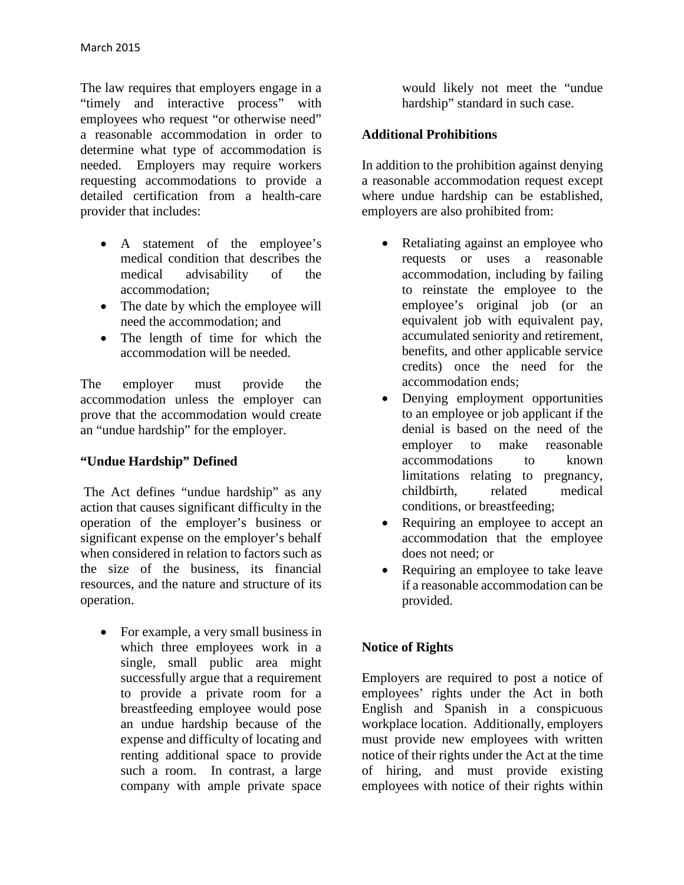The law requires that employers engage in a "timely and interactive process" with employees who request "or otherwise need" a reasonable accommodation in order to determine what type of accommodation is needed. Employers may require workers requesting accommodations to provide a detailed certification from a health-care provider that includes:

- A statement of the employee's medical condition that describes the medical advisability of the accommodation;
- The date by which the employee will need the accommodation; and
- The length of time for which the accommodation will be needed.

The employer must provide the accommodation unless the employer can prove that the accommodation would create an "undue hardship" for the employer.

## **"Undue Hardship" Defined**

The Act defines "undue hardship" as any action that causes significant difficulty in the operation of the employer's business or significant expense on the employer's behalf when considered in relation to factors such as the size of the business, its financial resources, and the nature and structure of its operation.

• For example, a very small business in which three employees work in a single, small public area might successfully argue that a requirement to provide a private room for a breastfeeding employee would pose an undue hardship because of the expense and difficulty of locating and renting additional space to provide such a room. In contrast, a large company with ample private space

would likely not meet the "undue hardship" standard in such case.

## **Additional Prohibitions**

In addition to the prohibition against denying a reasonable accommodation request except where undue hardship can be established, employers are also prohibited from:

- Retaliating against an employee who requests or uses a reasonable accommodation, including by failing to reinstate the employee to the employee's original job (or an equivalent job with equivalent pay, accumulated seniority and retirement, benefits, and other applicable service credits) once the need for the accommodation ends;
- Denying employment opportunities to an employee or job applicant if the denial is based on the need of the employer to make reasonable accommodations to known limitations relating to pregnancy, childbirth, related medical conditions, or breastfeeding;
- Requiring an employee to accept an accommodation that the employee does not need; or
- Requiring an employee to take leave if a reasonable accommodation can be provided.

## **Notice of Rights**

Employers are required to post a notice of employees' rights under the Act in both English and Spanish in a conspicuous workplace location. Additionally, employers must provide new employees with written notice of their rights under the Act at the time of hiring, and must provide existing employees with notice of their rights within